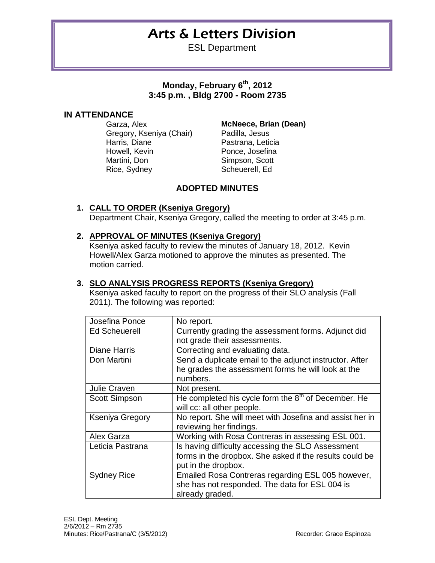# Arts & Letters Division

ESL Department

**Monday, February 6th, 2012 3:45 p.m. , Bldg 2700 - Room 2735**

### **IN ATTENDANCE**

Garza, Alex **McNeece, Brian (Dean)** Gregory, Kseniya (Chair) Padilla, Jesus Harris, Diane **Pastrana, Leticia** Howell, Kevin **Ponce**, Josefina Martini, Don Simpson, Scott Rice, Sydney Scheuerell, Ed

### **ADOPTED MINUTES**

### **1. CALL TO ORDER (Kseniya Gregory)** Department Chair, Kseniya Gregory, called the meeting to order at 3:45 p.m.

#### **2. APPROVAL OF MINUTES (Kseniya Gregory)**

Kseniya asked faculty to review the minutes of January 18, 2012. Kevin Howell/Alex Garza motioned to approve the minutes as presented. The motion carried.

#### **3. SLO ANALYSIS PROGRESS REPORTS (Kseniya Gregory)**

Kseniya asked faculty to report on the progress of their SLO analysis (Fall 2011). The following was reported:

| Josefina Ponce         | No report.                                               |
|------------------------|----------------------------------------------------------|
| <b>Ed Scheuerell</b>   | Currently grading the assessment forms. Adjunct did      |
|                        | not grade their assessments.                             |
| <b>Diane Harris</b>    | Correcting and evaluating data.                          |
| Don Martini            | Send a duplicate email to the adjunct instructor. After  |
|                        | he grades the assessment forms he will look at the       |
|                        | numbers.                                                 |
| Julie Craven           | Not present.                                             |
| <b>Scott Simpson</b>   | He completed his cycle form the $8th$ of December. He    |
|                        | will cc: all other people.                               |
| <b>Kseniya Gregory</b> | No report. She will meet with Josefina and assist her in |
|                        | reviewing her findings.                                  |
| Alex Garza             | Working with Rosa Contreras in assessing ESL 001.        |
| Leticia Pastrana       | Is having difficulty accessing the SLO Assessment        |
|                        | forms in the dropbox. She asked if the results could be  |
|                        | put in the dropbox.                                      |
| <b>Sydney Rice</b>     | Emailed Rosa Contreras regarding ESL 005 however,        |
|                        | she has not responded. The data for ESL 004 is           |
|                        | already graded.                                          |